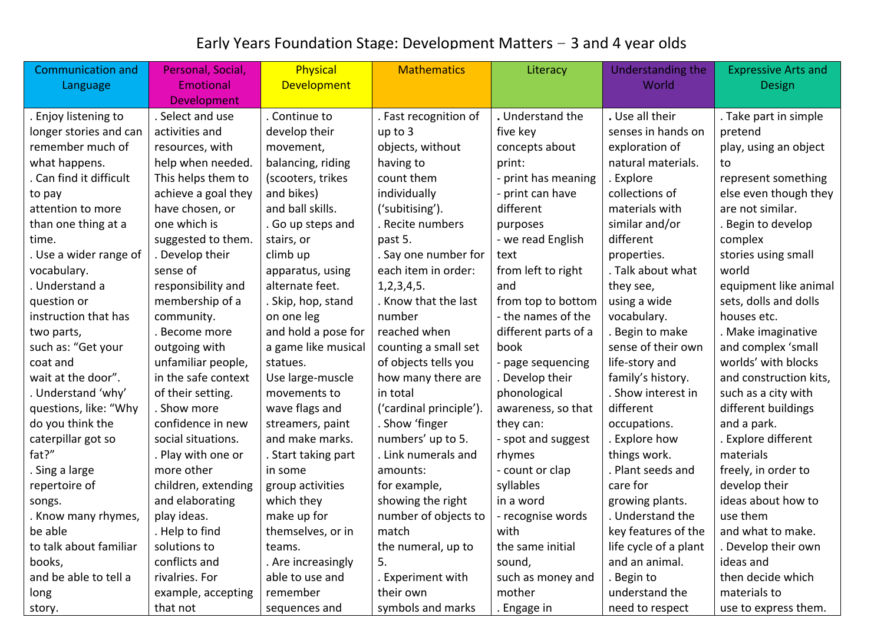## Early Years Foundation Stage: Development Matters – 3 and 4 year olds

| <b>Communication and</b> | Personal, Social,   | Physical            | <b>Mathematics</b>     | Literacy             | Understanding the     | <b>Expressive Arts and</b> |
|--------------------------|---------------------|---------------------|------------------------|----------------------|-----------------------|----------------------------|
| Language                 | <b>Emotional</b>    | <b>Development</b>  |                        |                      | World                 | Design                     |
|                          | <b>Development</b>  |                     |                        |                      |                       |                            |
| Enjoy listening to       | . Select and use    | Continue to         | . Fast recognition of  | . Understand the     | . Use all their       | . Take part in simple      |
| longer stories and can   | activities and      | develop their       | up to 3                | five key             | senses in hands on    | pretend                    |
| remember much of         | resources, with     | movement,           | objects, without       | concepts about       | exploration of        | play, using an object      |
| what happens.            | help when needed.   | balancing, riding   | having to              | print:               | natural materials.    | to                         |
| Can find it difficult    | This helps them to  | (scooters, trikes   | count them             | - print has meaning  | . Explore             | represent something        |
| to pay                   | achieve a goal they | and bikes)          | individually           | - print can have     | collections of        | else even though they      |
| attention to more        | have chosen, or     | and ball skills.    | ('subitising').        | different            | materials with        | are not similar.           |
| than one thing at a      | one which is        | . Go up steps and   | Recite numbers         | purposes             | similar and/or        | . Begin to develop         |
| time.                    | suggested to them.  | stairs, or          | past 5.                | - we read English    | different             | complex                    |
| Use a wider range of     | . Develop their     | climb up            | . Say one number for   | text                 | properties.           | stories using small        |
| vocabulary.              | sense of            | apparatus, using    | each item in order:    | from left to right   | . Talk about what     | world                      |
| Understand a             | responsibility and  | alternate feet.     | 1, 2, 3, 4, 5.         | and                  | they see,             | equipment like animal      |
| question or              | membership of a     | . Skip, hop, stand  | . Know that the last   | from top to bottom   | using a wide          | sets, dolls and dolls      |
| instruction that has     | community.          | on one leg          | number                 | - the names of the   | vocabulary.           | houses etc.                |
| two parts,               | . Become more       | and hold a pose for | reached when           | different parts of a | Begin to make         | . Make imaginative         |
| such as: "Get your       | outgoing with       | a game like musical | counting a small set   | book                 | sense of their own    | and complex 'small         |
| coat and                 | unfamiliar people,  | statues.            | of objects tells you   | - page sequencing    | life-story and        | worlds' with blocks        |
| wait at the door".       | in the safe context | Use large-muscle    | how many there are     | . Develop their      | family's history.     | and construction kits,     |
| Understand 'why'         | of their setting.   | movements to        | in total               | phonological         | . Show interest in    | such as a city with        |
| questions, like: "Why    | . Show more         | wave flags and      | ('cardinal principle') | awareness, so that   | different             | different buildings        |
| do you think the         | confidence in new   | streamers, paint    | . Show 'finger         | they can:            | occupations.          | and a park.                |
| caterpillar got so       | social situations.  | and make marks.     | numbers' up to 5.      | - spot and suggest   | . Explore how         | . Explore different        |
| fat?"                    | . Play with one or  | . Start taking part | . Link numerals and    | rhymes               | things work.          | materials                  |
| . Sing a large           | more other          | in some             | amounts:               | - count or clap      | . Plant seeds and     | freely, in order to        |
| repertoire of            | children, extending | group activities    | for example,           | syllables            | care for              | develop their              |
| songs.                   | and elaborating     | which they          | showing the right      | in a word            | growing plants.       | ideas about how to         |
| . Know many rhymes,      | play ideas.         | make up for         | number of objects to   | - recognise words    | . Understand the      | use them                   |
| be able                  | . Help to find      | themselves, or in   | match                  | with                 | key features of the   | and what to make.          |
| to talk about familiar   | solutions to        | teams.              | the numeral, up to     | the same initial     | life cycle of a plant | . Develop their own        |
| books,                   | conflicts and       | . Are increasingly  | 5.                     | sound,               | and an animal.        | ideas and                  |
| and be able to tell a    | rivalries. For      | able to use and     | Experiment with        | such as money and    | . Begin to            | then decide which          |
| long                     | example, accepting  | remember            | their own              | mother               | understand the        | materials to               |
| story.                   | that not            | sequences and       | symbols and marks      | . Engage in          | need to respect       | use to express them.       |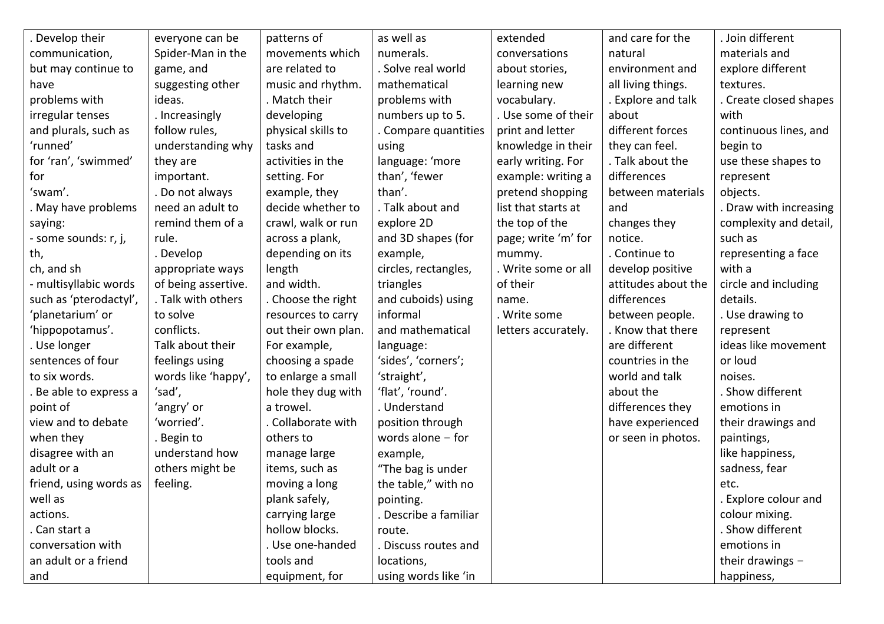| . Develop their        | everyone can be     | patterns of         | as well as            | extended            | and care for the    | . Join different       |
|------------------------|---------------------|---------------------|-----------------------|---------------------|---------------------|------------------------|
| communication,         | Spider-Man in the   | movements which     | numerals.             | conversations       | natural             | materials and          |
| but may continue to    | game, and           | are related to      | . Solve real world    | about stories,      | environment and     | explore different      |
| have                   | suggesting other    | music and rhythm.   | mathematical          | learning new        | all living things.  | textures.              |
| problems with          | ideas.              | . Match their       | problems with         | vocabulary.         | . Explore and talk  | . Create closed shapes |
| irregular tenses       | . Increasingly      | developing          | numbers up to 5.      | Use some of their   | about               | with                   |
| and plurals, such as   | follow rules,       | physical skills to  | . Compare quantities  | print and letter    | different forces    | continuous lines, and  |
| 'runned'               | understanding why   | tasks and           | using                 | knowledge in their  | they can feel.      | begin to               |
| for 'ran', 'swimmed'   | they are            | activities in the   | language: 'more       | early writing. For  | . Talk about the    | use these shapes to    |
| for                    | important.          | setting. For        | than', 'fewer         | example: writing a  | differences         | represent              |
| 'swam'.                | . Do not always     | example, they       | than'.                | pretend shopping    | between materials   | objects.               |
| . May have problems    | need an adult to    | decide whether to   | . Talk about and      | list that starts at | and                 | . Draw with increasing |
| saying:                | remind them of a    | crawl, walk or run  | explore 2D            | the top of the      | changes they        | complexity and detail, |
| - some sounds: r, j,   | rule.               | across a plank,     | and 3D shapes (for    | page; write 'm' for | notice.             | such as                |
| th,                    | . Develop           | depending on its    | example,              | mummy.              | . Continue to       | representing a face    |
| ch, and sh             | appropriate ways    | length              | circles, rectangles,  | . Write some or all | develop positive    | with a                 |
| - multisyllabic words  | of being assertive. | and width.          | triangles             | of their            | attitudes about the | circle and including   |
| such as 'pterodactyl', | . Talk with others  | . Choose the right  | and cuboids) using    | name.               | differences         | details.               |
| 'planetarium' or       | to solve            | resources to carry  | informal              | . Write some        | between people.     | . Use drawing to       |
| 'hippopotamus'.        | conflicts.          | out their own plan. | and mathematical      | letters accurately. | . Know that there   | represent              |
| . Use longer           | Talk about their    | For example,        | language:             |                     | are different       | ideas like movement    |
| sentences of four      | feelings using      | choosing a spade    | 'sides', 'corners';   |                     | countries in the    | or loud                |
| to six words.          | words like 'happy', | to enlarge a small  | 'straight',           |                     | world and talk      | noises.                |
| . Be able to express a | 'sad',              | hole they dug with  | 'flat', 'round'.      |                     | about the           | . Show different       |
| point of               | 'angry' or          | a trowel.           | . Understand          |                     | differences they    | emotions in            |
| view and to debate     | 'worried'.          | . Collaborate with  | position through      |                     | have experienced    | their drawings and     |
| when they              | . Begin to          | others to           | words alone $-$ for   |                     | or seen in photos.  | paintings,             |
| disagree with an       | understand how      | manage large        | example,              |                     |                     | like happiness,        |
| adult or a             | others might be     | items, such as      | "The bag is under     |                     |                     | sadness, fear          |
| friend, using words as | feeling.            | moving a long       | the table," with no   |                     |                     | etc.                   |
| well as                |                     | plank safely,       | pointing.             |                     |                     | . Explore colour and   |
| actions.               |                     | carrying large      | . Describe a familiar |                     |                     | colour mixing.         |
| . Can start a          |                     | hollow blocks.      | route.                |                     |                     | . Show different       |
| conversation with      |                     | . Use one-handed    | Discuss routes and    |                     |                     | emotions in            |
| an adult or a friend   |                     | tools and           | locations,            |                     |                     | their drawings $-$     |
| and                    |                     | equipment, for      | using words like 'in  |                     |                     | happiness,             |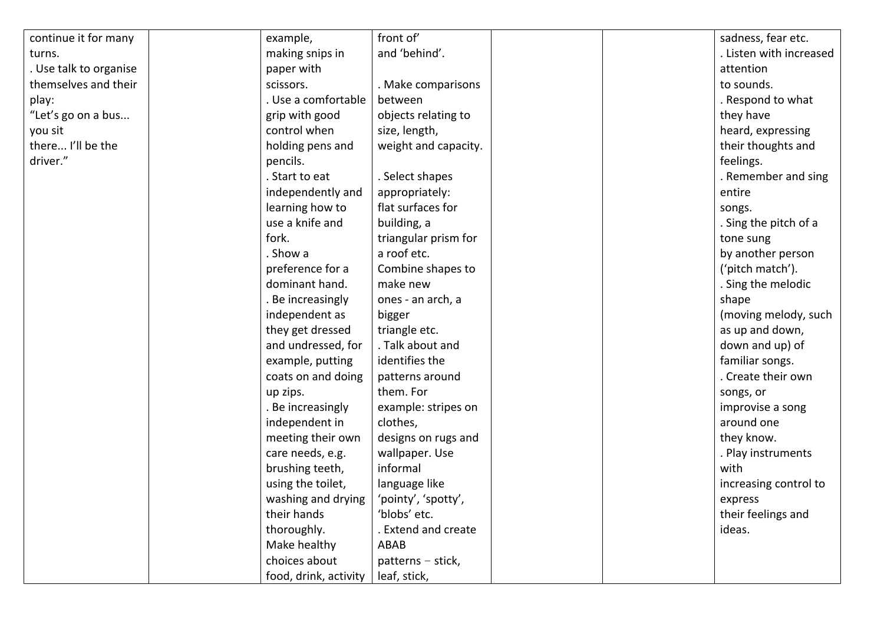| continue it for many   | example,                                       | front of'            |  | sadness, fear etc.      |
|------------------------|------------------------------------------------|----------------------|--|-------------------------|
| turns.                 | making snips in                                | and 'behind'.        |  | . Listen with increased |
| . Use talk to organise | paper with                                     |                      |  | attention               |
| themselves and their   | scissors.                                      | . Make comparisons   |  | to sounds.              |
| play:                  | . Use a comfortable                            | between              |  | . Respond to what       |
| "Let's go on a bus     | grip with good                                 | objects relating to  |  | they have               |
| you sit                | control when                                   | size, length,        |  | heard, expressing       |
| there I'll be the      | holding pens and                               | weight and capacity. |  | their thoughts and      |
| driver."               | pencils.                                       |                      |  | feelings.               |
|                        | . Start to eat                                 | . Select shapes      |  | . Remember and sing     |
|                        | independently and                              | appropriately:       |  | entire                  |
|                        | learning how to                                | flat surfaces for    |  | songs.                  |
|                        | use a knife and                                | building, a          |  | . Sing the pitch of a   |
|                        | fork.                                          | triangular prism for |  | tone sung               |
|                        | . Show a                                       | a roof etc.          |  | by another person       |
|                        | preference for a                               | Combine shapes to    |  | ('pitch match').        |
|                        | dominant hand.                                 | make new             |  | . Sing the melodic      |
|                        | . Be increasingly                              | ones - an arch, a    |  | shape                   |
|                        | independent as                                 | bigger               |  | (moving melody, such    |
|                        | they get dressed                               | triangle etc.        |  | as up and down,         |
|                        | and undressed, for                             | . Talk about and     |  | down and up) of         |
|                        | example, putting                               | identifies the       |  | familiar songs.         |
|                        | coats on and doing                             | patterns around      |  | . Create their own      |
|                        | up zips.                                       | them. For            |  | songs, or               |
|                        | Be increasingly                                | example: stripes on  |  | improvise a song        |
|                        | independent in                                 | clothes,             |  | around one              |
|                        | meeting their own                              | designs on rugs and  |  | they know.              |
|                        | care needs, e.g.                               | wallpaper. Use       |  | . Play instruments      |
|                        | brushing teeth,                                | informal             |  | with                    |
|                        | using the toilet,                              | language like        |  | increasing control to   |
|                        | washing and drying $\vert$ 'pointy', 'spotty', |                      |  | express                 |
|                        | their hands                                    | 'blobs' etc.         |  | their feelings and      |
|                        | thoroughly.                                    | Extend and create    |  | ideas.                  |
|                        | Make healthy                                   | ABAB                 |  |                         |
|                        | choices about                                  | patterns - stick,    |  |                         |
|                        | food, drink, activity                          | leaf, stick,         |  |                         |